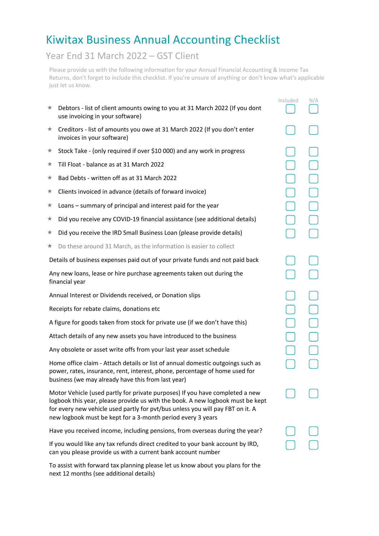## Kiwitax Business Annual Accounting Checklist

## Year End 31 March 2022 – GST Client

Please provide us with the following information for your Annual Financial Accounting & Income Tax Returns, don't forget to include this checklist. If you're unsure of anything or don't know what's applicable just let us know.

|                                                                                                                                                                                                                                                                                                                 |                                                                                                                | Included | N/A |
|-----------------------------------------------------------------------------------------------------------------------------------------------------------------------------------------------------------------------------------------------------------------------------------------------------------------|----------------------------------------------------------------------------------------------------------------|----------|-----|
| ★                                                                                                                                                                                                                                                                                                               | Debtors - list of client amounts owing to you at 31 March 2022 (If you dont<br>use invoicing in your software) |          |     |
| ★                                                                                                                                                                                                                                                                                                               | Creditors - list of amounts you owe at 31 March 2022 (If you don't enter<br>invoices in your software)         |          |     |
| ★                                                                                                                                                                                                                                                                                                               | Stock Take - (only required if over \$10 000) and any work in progress                                         |          |     |
| ★                                                                                                                                                                                                                                                                                                               | Till Float - balance as at 31 March 2022                                                                       |          |     |
| ★                                                                                                                                                                                                                                                                                                               | Bad Debts - written off as at 31 March 2022                                                                    |          |     |
| ★                                                                                                                                                                                                                                                                                                               | Clients invoiced in advance (details of forward invoice)                                                       |          |     |
| ★                                                                                                                                                                                                                                                                                                               | Loans - summary of principal and interest paid for the year                                                    |          |     |
| ★                                                                                                                                                                                                                                                                                                               | Did you receive any COVID-19 financial assistance (see additional details)                                     |          |     |
| ★                                                                                                                                                                                                                                                                                                               | Did you receive the IRD Small Business Loan (please provide details)                                           |          |     |
| ★                                                                                                                                                                                                                                                                                                               | Do these around 31 March, as the information is easier to collect                                              |          |     |
|                                                                                                                                                                                                                                                                                                                 | Details of business expenses paid out of your private funds and not paid back                                  |          |     |
| Any new loans, lease or hire purchase agreements taken out during the<br>financial year                                                                                                                                                                                                                         |                                                                                                                |          |     |
| Annual Interest or Dividends received, or Donation slips                                                                                                                                                                                                                                                        |                                                                                                                |          |     |
| Receipts for rebate claims, donations etc                                                                                                                                                                                                                                                                       |                                                                                                                |          |     |
| A figure for goods taken from stock for private use (if we don't have this)                                                                                                                                                                                                                                     |                                                                                                                |          |     |
| Attach details of any new assets you have introduced to the business                                                                                                                                                                                                                                            |                                                                                                                |          |     |
|                                                                                                                                                                                                                                                                                                                 | Any obsolete or asset write offs from your last year asset schedule                                            |          |     |
| Home office claim - Attach details or list of annual domestic outgoings such as<br>power, rates, insurance, rent, interest, phone, percentage of home used for<br>business (we may already have this from last year)                                                                                            |                                                                                                                |          |     |
| Motor Vehicle (used partly for private purposes) If you have completed a new<br>logbook this year, please provide us with the book. A new logbook must be kept<br>for every new vehicle used partly for pvt/bus unless you will pay FBT on it. A<br>new logbook must be kept for a 3-month period every 3 years |                                                                                                                |          |     |
| Have you received income, including pensions, from overseas during the year?                                                                                                                                                                                                                                    |                                                                                                                |          |     |
| If you would like any tax refunds direct credited to your bank account by IRD,<br>can you please provide us with a current bank account number                                                                                                                                                                  |                                                                                                                |          |     |

To assist with forward tax planning please let us know about you plans for the next 12 months (see additional details)